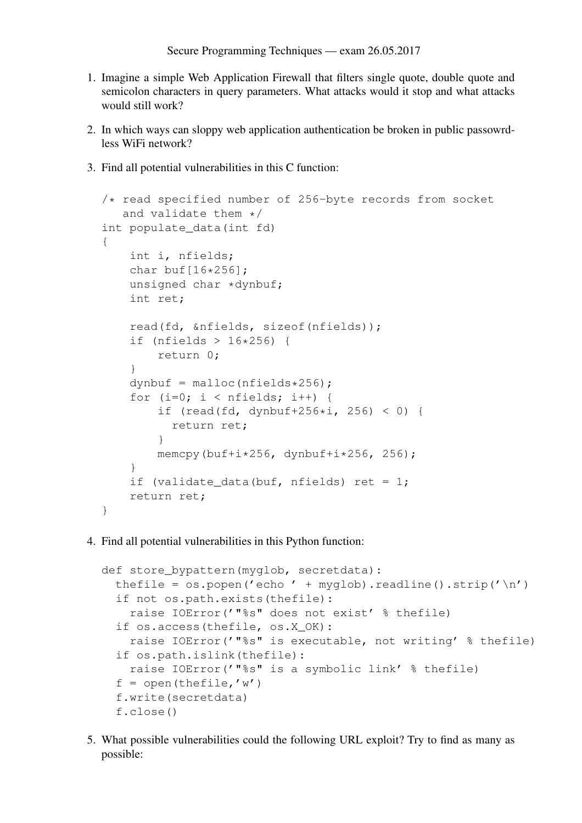- 1. Imagine a simple Web Application Firewall that filters single quote, double quote and semicolon characters in query parameters. What attacks would it stop and what attacks would still work?
- 2. In which ways can sloppy web application authentication be broken in public passowrdless WiFi network?
- 3. Find all potential vulnerabilities in this C function:

```
/* read specified number of 256-byte records from socket
   and validate them */
int populate data(int fd)
{
    int i, nfields;
    char buf[16*256];
    unsigned char *dynbuf;
    int ret;
    read(fd, &nfields, sizeof(nfields));
    if (nfields > 16*256) {
        return 0;
    }
    dynbuf = malloc(nfields*256);
    for (i=0; i < nfields; i++) {
        if (read(fd, dynbuf+256\stari, 256) < 0) {
          return ret;
        }
        memcpy(buf+i*256, dynbuf+i*256, 256);
    }
    if (validate_data(buf, nfields) ret = 1;
    return ret;
}
```
4. Find all potential vulnerabilities in this Python function:

```
def store_bypattern(myglob, secretdata):
  thefile = \cos p \n\rho p ('echo' + myqlob).readline().strip('\n')
  if not os.path.exists(thefile):
    raise IOError('"%s" does not exist' % thefile)
  if os.access(thefile, os.X_OK):
    raise IOError('"%s" is executable, not writing' % thefile)
  if os.path.islink(thefile):
    raise IOError('"%s" is a symbolic link' % thefile)
  f = open(thefile, 'w')f.write(secretdata)
  f.close()
```
5. What possible vulnerabilities could the following URL exploit? Try to find as many as possible: